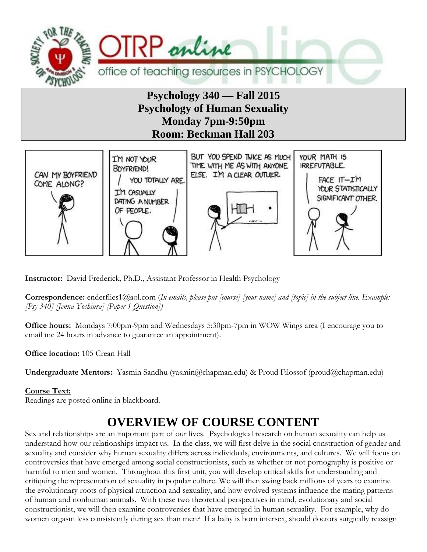

## **Psychology 340 –– Fall 2015 Psychology of Human Sexuality Monday 7pm-9:50pm Room: Beckman Hall 203**



**Instructor:** David Frederick, Ph.D., Assistant Professor in Health Psychology

**Correspondence:** enderflies1@aol.com (*In emails, please put [course] [your name] and [topic] in the subject line. Example: [Psy 340] [Jenna Yoshiura] [Paper 1 Question])*

**Office hours:** Mondays 7:00pm-9pm and Wednesdays 5:30pm-7pm in WOW Wings area (I encourage you to email me 24 hours in advance to guarantee an appointment).

**Office location:** 105 Crean Hall

**Undergraduate Mentors:** Yasmin Sandhu (yasmin@chapman.edu) & Proud Filossof (proud@chapman.edu)

#### **Course Text:**

Readings are posted online in blackboard.

# **OVERVIEW OF COURSE CONTENT**

Sex and relationships are an important part of our lives. Psychological research on human sexuality can help us understand how our relationships impact us. In the class, we will first delve in the social construction of gender and sexuality and consider why human sexuality differs across individuals, environments, and cultures. We will focus on controversies that have emerged among social constructionists, such as whether or not pornography is positive or harmful to men and women. Throughout this first unit, you will develop critical skills for understanding and critiquing the representation of sexuality in popular culture. We will then swing back millions of years to examine the evolutionary roots of physical attraction and sexuality, and how evolved systems influence the mating patterns of human and nonhuman animals. With these two theoretical perspectives in mind, evolutionary and social constructionist, we will then examine controversies that have emerged in human sexuality. For example, why do women orgasm less consistently during sex than men? If a baby is born intersex, should doctors surgically reassign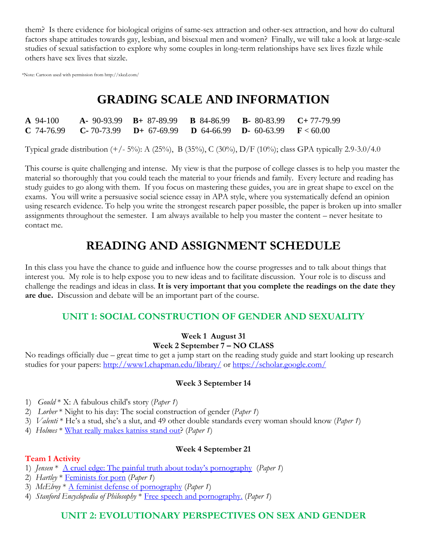them? Is there evidence for biological origins of same-sex attraction and other-sex attraction, and how do cultural factors shape attitudes towards gay, lesbian, and bisexual men and women? Finally, we will take a look at large-scale studies of sexual satisfaction to explore why some couples in long-term relationships have sex lives fizzle while others have sex lives that sizzle.

\*Note: Cartoon used with permission from http://xkcd.com/

# **GRADING SCALE AND INFORMATION**

| $\mathbf{A}$ 94-100 | <b>A</b> - 90-93.99 <b>B</b> + 87-89.99 <b>B</b> 84-86.99 <b>B</b> - 80-83.99 <b>C</b> +77-79.99                |  |  |
|---------------------|-----------------------------------------------------------------------------------------------------------------|--|--|
|                     | <b>C</b> 74-76.99 <b>C</b> -70-73.99 <b>D</b> + 67-69.99 <b>D</b> 64-66.99 <b>D</b> - 60-63.99 <b>F</b> < 60.00 |  |  |

Typical grade distribution (+/- 5%): A (25%), B (35%), C (30%), D/F (10%); class GPA typically 2.9-3.0/4.0

This course is quite challenging and intense. My view is that the purpose of college classes is to help you master the material so thoroughly that you could teach the material to your friends and family. Every lecture and reading has study guides to go along with them. If you focus on mastering these guides, you are in great shape to excel on the exams. You will write a persuasive social science essay in APA style, where you systematically defend an opinion using research evidence. To help you write the strongest research paper possible, the paper is broken up into smaller assignments throughout the semester. I am always available to help you master the content – never hesitate to contact me.

# **READING AND ASSIGNMENT SCHEDULE**

In this class you have the chance to guide and influence how the course progresses and to talk about things that interest you. My role is to help expose you to new ideas and to facilitate discussion. Your role is to discuss and challenge the readings and ideas in class. **It is very important that you complete the readings on the date they are due.** Discussion and debate will be an important part of the course.

## **UNIT 1: SOCIAL CONSTRUCTION OF GENDER AND SEXUALITY**

#### **Week 1 August 31 Week 2 September 7 – NO CLASS**

No readings officially due – great time to get a jump start on the reading study guide and start looking up research studies for your papers:<http://www1.chapman.edu/library/> or<https://scholar.google.com/>

### **Week 3 September 14**

- 1) *Gould* \* X: A fabulous child's story (*Paper 1*)
- 2) *Lorber* \* Night to his day: The social construction of gender (*Paper 1*)
- 3) *Valenti* \* He's a stud, she's a slut, and 49 other double standards every woman should know (*Paper 1*)
- 4) *Holmes* \* [What really makes katniss stand out?](http://www.npr.org/blogs/monkeysee/2013/11/25/247146164/what-really-makes-katniss-stand-out-peeta-her-movie-girlfriend) (*Paper 1*)

#### **Week 4 September 21**

#### **Team 1 Activity**

- 1) *Jensen* \* A cruel edge: [The painful truth about today's pornography](http://uts.cc.utexas.edu/~rjensen/freelance/pornography&cruelty.htm) (*Paper 1*)
- 2) *Hartley* \* [Feminists for porn](http://www.counterpunch.org/hartley02022005.html) (*Paper 1*)
- 3) *McElroy* \* [A feminist defense of pornography](http://www.secularhumanism.org/library/fi/mcelroy_17_4.html) (*Paper 1*)
- 4) *Stanford Encyclopedia of Philosophy* \* Free speech [and pornography.](http://plato.stanford.edu/entries/freedom-speech/) (*Paper 1*)

### **UNIT 2: EVOLUTIONARY PERSPECTIVES ON SEX AND GENDER**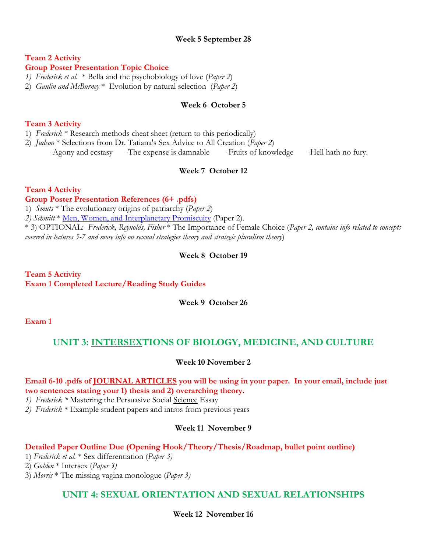#### **Week 5 September 28**

## **Team 2 Activity**

### **Group Poster Presentation Topic Choice**

*1) Frederick et al.* \* Bella and the psychobiology of love (*Paper 2*)

2) *Gaulin and McBurney* \* Evolution by natural selection (*Paper 2*)

#### **Week 6 October 5**

#### **Team 3 Activity**

1) *Frederick* \* Research methods cheat sheet (return to this periodically)

2) *Judson* \* Selections from Dr. Tatiana's Sex Advice to All Creation (*Paper 2*) -Agony and ecstasy -The expense is damnable -Fruits of knowledge -Hell hath no fury.

#### **Week 7 October 12**

#### **Team 4 Activity**

#### **Group Poster Presentation References (6+ .pdfs)**

1) *Smuts* \* The evolutionary origins of patriarchy (*Paper 2*)

*2) Schmitt* \* [Men, Women, and Interplanetary Promiscuity](https://www.psychologytoday.com/blog/sexual-personalities/201202/men-women-and-interplanetary-promiscuity) (Paper 2).

\* 3) OPTIONAL: *Frederick, Reynolds, Fisher* \* The Importance of Female Choice (*Paper 2, contains info related to concepts covered in lectures 5-7 and more info on sexual strategies theory and strategic pluralism theory*)

#### **Week 8 October 19**

**Team 5 Activity Exam 1 Completed Lecture/Reading Study Guides**

**Week 9 October 26**

**Exam 1**

#### **UNIT 3: INTERSEXTIONS OF BIOLOGY, MEDICINE, AND CULTURE**

**Week 10 November 2**

#### **Email 6-10 .pdfs of JOURNAL ARTICLES you will be using in your paper. In your email, include just two sentences stating your 1) thesis and 2) overarching theory.**

*1) Frederick \** Mastering the Persuasive Social Science Essay

*2) Frederick \** Example student papers and intros from previous years

#### **Week 11 November 9**

#### **Detailed Paper Outline Due (Opening Hook/Theory/Thesis/Roadmap, bullet point outline)**

1) *Frederick et al.* \* Sex differentiation (*Paper 3)*

2) *Golden* \* Intersex (*Paper 3)*

3) *Morris* \* The missing vagina monologue (*Paper 3)*

### **UNIT 4: SEXUAL ORIENTATION AND SEXUAL RELATIONSHIPS**

**Week 12 November 16**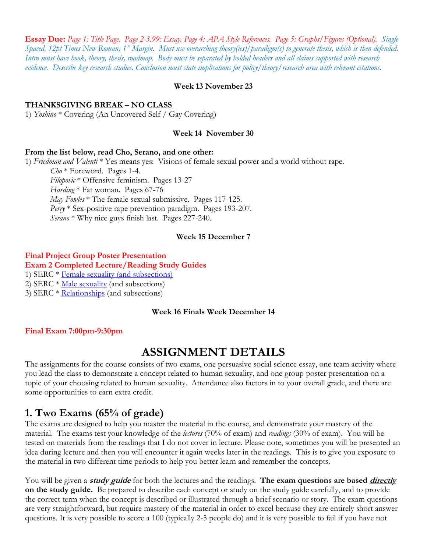**Essay Due:** *Page 1: Title Page. Page 2-3.99: Essay. Page 4: APA Style References. Page 5: Graphs/Figures (Optional). Single Spaced, 12pt Times New Roman, 1" Margin. Must use overarching theory(ies)/paradigm(s) to generate thesis, which is then defended. Intro must have hook, theory, thesis, roadmap. Body must be separated by bolded headers and all claims supported with research evidence. Describe key research studies. Conclusion must state implications for policy/theory/research area with relevant citations.*

#### **Week 13 November 23**

#### **THANKSGIVING BREAK – NO CLASS**

1) *Yoshino* \* Covering (An Uncovered Self / Gay Covering)

#### **Week 14 November 30**

#### **From the list below, read Cho, Serano, and one other:**

1) *Friedman and Valenti* \* Yes means yes: Visions of female sexual power and a world without rape. *Cho* \* Foreword. Pages 1-4. *Filopovic* \* Offensive feminism. Pages 13-27 *Harding* \* Fat woman. Pages 67-76 *May Fowles* \* The female sexual submissive. Pages 117-125. *Perry* \* Sex-positive rape prevention paradigm. Pages 193-207.

*Serano* \* Why nice guys finish last. Pages 227-240.

#### **Week 15 December 7**

#### **Final Project Group Poster Presentation**

**Exam 2 Completed Lecture/Reading Study Guides**

1) SERC \* [Female sexuality \(and subsections\)](http://www.serc.mb.ca/sexuality-relationships/female-sexuality)

2) SERC \* [Male sexuality](http://www.serc.mb.ca/sexuality-relationships/male-sexuality) (and subsections)

3) SERC  $*$  [Relationships](http://www.serc.mb.ca/sexuality-relationships/relationships/) (and subsections)

#### **Week 16 Finals Week December 14**

#### **Final Exam 7:00pm-9:30pm**

## **ASSIGNMENT DETAILS**

The assignments for the course consists of two exams, one persuasive social science essay, one team activity where you lead the class to demonstrate a concept related to human sexuality, and one group poster presentation on a topic of your choosing related to human sexuality. Attendance also factors in to your overall grade, and there are some opportunities to earn extra credit.

## **1. Two Exams (65% of grade)**

The exams are designed to help you master the material in the course, and demonstrate your mastery of the material. The exams test your knowledge of the *lectures* (70% of exam) and *readings* (30% of exam). You will be tested on materials from the readings that I do not cover in lecture. Please note, sometimes you will be presented an idea during lecture and then you will encounter it again weeks later in the readings. This is to give you exposure to the material in two different time periods to help you better learn and remember the concepts.

You will be given a **study guide** for both the lectures and the readings. **The exam questions are based directly on the study guide.** Be prepared to describe each concept or study on the study guide carefully, and to provide the correct term when the concept is described or illustrated through a brief scenario or story. The exam questions are very straightforward, but require mastery of the material in order to excel because they are entirely short answer questions. It is very possible to score a 100 (typically 2-5 people do) and it is very possible to fail if you have not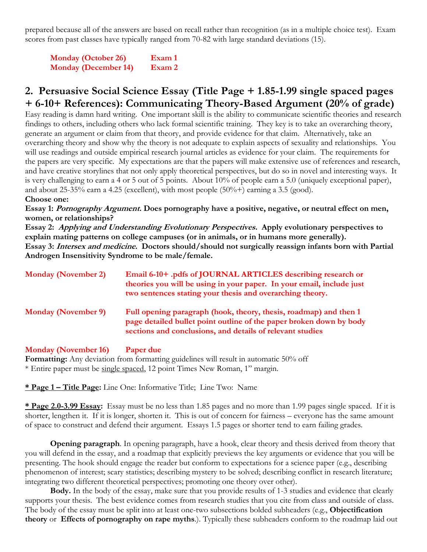prepared because all of the answers are based on recall rather than recognition (as in a multiple choice test). Exam scores from past classes have typically ranged from 70-82 with large standard deviations (15).

**Monday (October 26) Exam 1 Monday (December 14) Exam 2**

## **2. Persuasive Social Science Essay (Title Page + 1.85-1.99 single spaced pages + 6-10+ References): Communicating Theory-Based Argument (20% of grade)**

Easy reading is damn hard writing. One important skill is the ability to communicate scientific theories and research findings to others, including others who lack formal scientific training. They key is to take an overarching theory, generate an argument or claim from that theory, and provide evidence for that claim. Alternatively, take an overarching theory and show why the theory is not adequate to explain aspects of sexuality and relationships. You will use readings and outside empirical research journal articles as evidence for your claim. The requirements for the papers are very specific. My expectations are that the papers will make extensive use of references and research, and have creative storylines that not only apply theoretical perspectives, but do so in novel and interesting ways. It is very challenging to earn a 4 or 5 out of 5 points. About 10% of people earn a 5.0 (uniquely exceptional paper), and about 25-35% earn a 4.25 (excellent), with most people  $(50\% +)$  earning a 3.5 (good).

#### **Choose one:**

**Essay 1: Pornography Argument. Does pornography have a positive, negative, or neutral effect on men, women, or relationships?** 

**Essay 2: Applying and Understanding Evolutionary Perspectives. Apply evolutionary perspectives to explain mating patterns on college campuses (or in animals, or in humans more generally). Essay 3: Intersex and medicine. Doctors should/should not surgically reassign infants born with Partial Androgen Insensitivity Syndrome to be male/female.**

| <b>Monday (November 2)</b> | Email 6-10+ .pdfs of JOURNAL ARTICLES describing research or<br>theories you will be using in your paper. In your email, include just<br>two sentences stating your thesis and overarching theory.    |
|----------------------------|-------------------------------------------------------------------------------------------------------------------------------------------------------------------------------------------------------|
| <b>Monday (November 9)</b> | Full opening paragraph (hook, theory, thesis, roadmap) and then 1<br>page detailed bullet point outline of the paper broken down by body<br>sections and conclusions, and details of relevant studies |

**Monday (November 16) Paper due Formatting:** Any deviation from formatting guidelines will result in automatic 50% off \* Entire paper must be single spaced, 12 point Times New Roman, 1" margin.

**\* Page 1 – Title Page:** Line One: Informative Title; Line Two: Name

**\* Page 2.0-3.99 Essay:** Essay must be no less than 1.85 pages and no more than 1.99 pages single spaced. If it is shorter, lengthen it. If it is longer, shorten it. This is out of concern for fairness – everyone has the same amount of space to construct and defend their argument. Essays 1.5 pages or shorter tend to earn failing grades.

**Opening paragraph**. In opening paragraph, have a hook, clear theory and thesis derived from theory that you will defend in the essay, and a roadmap that explicitly previews the key arguments or evidence that you will be presenting. The hook should engage the reader but conform to expectations for a science paper (e.g., describing phenomenon of interest; scary statistics; describing mystery to be solved; describing conflict in research literature; integrating two different theoretical perspectives; promoting one theory over other).

**Body.** In the body of the essay, make sure that you provide results of 1-3 studies and evidence that clearly supports your thesis. The best evidence comes from research studies that you cite from class and outside of class. The body of the essay must be split into at least one-two subsections bolded subheaders (e.g., **Objectification theory** or **Effects of pornography on rape myths**.). Typically these subheaders conform to the roadmap laid out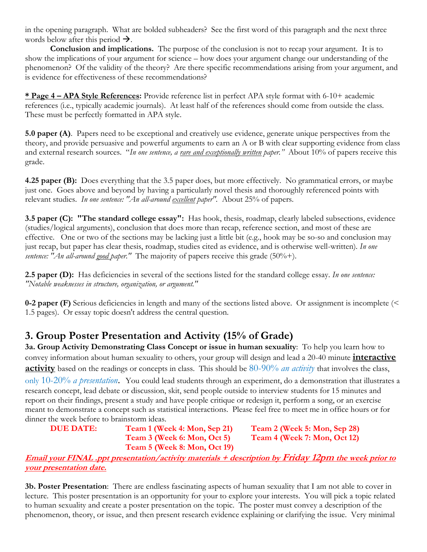in the opening paragraph. What are bolded subheaders? See the first word of this paragraph and the next three words below after this period  $\rightarrow$ .

**Conclusion and implications.** The purpose of the conclusion is not to recap your argument. It is to show the implications of your argument for science – how does your argument change our understanding of the phenomenon? Of the validity of the theory? Are there specific recommendations arising from your argument, and is evidence for effectiveness of these recommendations?

**\* Page 4 – APA Style References:** Provide reference list in perfect APA style format with 6-10+ academic references (i.e., typically academic journals). At least half of the references should come from outside the class. These must be perfectly formatted in APA style.

**5.0 paper (A)**. Papers need to be exceptional and creatively use evidence, generate unique perspectives from the theory, and provide persuasive and powerful arguments to earn an A or B with clear supporting evidence from class and external research sources. "*In one sentence, a <u>rare and exceptionally written</u> paper.*" About 10% of papers receive this grade.

**4.25 paper (B):** Does everything that the 3.5 paper does, but more effectively. No grammatical errors, or maybe just one. Goes above and beyond by having a particularly novel thesis and thoroughly referenced points with relevant studies. *In one sentence: "An all-around <u>excellent</u> paper"*. About 25% of papers.

**3.5 paper (C): "The standard college essay":** Has hook, thesis, roadmap, clearly labeled subsections, evidence (studies/logical arguments), conclusion that does more than recap, reference section, and most of these are effective. One or two of the sections may be lacking just a little bit (e.g., hook may be so-so and conclusion may just recap, but paper has clear thesis, roadmap, studies cited as evidence, and is otherwise well-written)*. In one sentence: "An all-around good paper."* The majority of papers receive this grade (50%+).

**2.5 paper (D):** Has deficiencies in several of the sections listed for the standard college essay. *In one sentence: "Notable weaknesses in structure, organization, or argument."* 

**0-2 paper (F)** Serious deficiencies in length and many of the sections listed above. Or assignment is incomplete (< 1.5 pages). Or essay topic doesn't address the central question.

## **3. Group Poster Presentation and Activity (15% of Grade)**

**3a. Group Activity Demonstrating Class Concept or issue in human sexuality**: To help you learn how to convey information about human sexuality to others, your group will design and lead a 20-40 minute **interactive activity** based on the readings or concepts in class. This should be 80-90% *an activity* that involves the class,

only 10-20% *a presentation*. You could lead students through an experiment, do a demonstration that illustrates a research concept, lead debate or discussion, skit, send people outside to interview students for 15 minutes and report on their findings, present a study and have people critique or redesign it, perform a song, or an exercise meant to demonstrate a concept such as statistical interactions. Please feel free to meet me in office hours or for dinner the week before to brainstorm ideas.

**DUE DATE: Team 1 (Week 4: Mon, Sep 21) Team 2 (Week 5: Mon, Sep 28) Team 3 (Week 6: Mon, Oct 5) Team 4 (Week 7: Mon, Oct 12) Team 5 (Week 8: Mon, Oct 19)**

**Email your FINAL .ppt presentation/activity materials + description by Friday 12pm the week prior to your presentation date.**

**3b. Poster Presentation**: There are endless fascinating aspects of human sexuality that I am not able to cover in lecture. This poster presentation is an opportunity for your to explore your interests. You will pick a topic related to human sexuality and create a poster presentation on the topic. The poster must convey a description of the phenomenon, theory, or issue, and then present research evidence explaining or clarifying the issue. Very minimal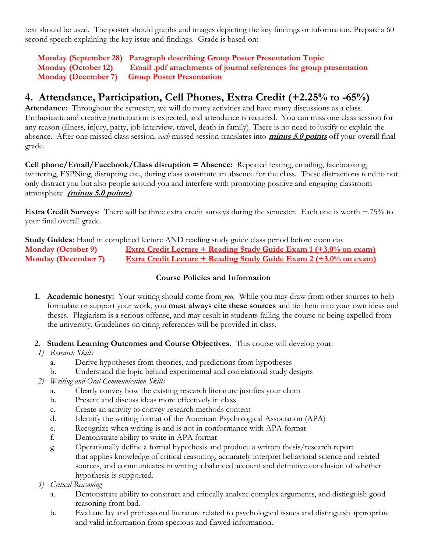text should be used. The poster should graphs and images depicting the key findings or information. Prepare a 60 second speech explaining the key issue and findings. Grade is based on:

**Monday (September 28) Paragraph describing Group Poster Presentation Topic Monday (October 12) Email .pdf attachments of journal references for group presentation Monday (December 7) Group Poster Presentation**

## **4. Attendance, Participation, Cell Phones, Extra Credit (+2.25% to -65%)**

**Attendance:** Throughout the semester, we will do many activities and have many discussions as a class. Enthusiastic and creative participation is expected, and attendance is required. You can miss one class session for any reason (illness, injury, party, job interview, travel, death in family). There is no need to justify or explain the absence. After one missed class session, *each* missed session translates into **minus 5.0 points** off your overall final grade.

**Cell phone/Email/Facebook/Class disruption = Absence:** Repeated texting, emailing, facebooking, twittering, ESPNing, disrupting etc., during class constitute an absence for the class. These distractions tend to not only distract you but also people around you and interfere with promoting positive and engaging classroom atmosphere **(minus 5.0 points)**.

**Extra Credit Surveys**: There will be three extra credit surveys during the semester. Each one is worth +.75% to your final overall grade.

**Study Guides:** Hand in completed lecture AND reading study guide class period before exam day **Monday (October 9) Extra Credit Lecture + Reading Study Guide Exam 1 (+3.0% on exam) Monday (December 7) Extra Credit Lecture + Reading Study Guide Exam 2 (+3.0% on exam)**

#### **Course Policies and Information**

- **1. Academic honesty:** Your writing should come from *you.* While you may draw from other sources to help formulate or support your work, you **must always cite these sources** and tie them into your own ideas and theses. Plagiarism is a serious offense, and may result in students failing the course or being expelled from the university. Guidelines on citing references will be provided in class.
- **2. Student Learning Outcomes and Course Objectives.** This course will develop your:
- *1) Research Skills*
	- a. Derive hypotheses from theories, and predictions from hypotheses
	- b. Understand the logic behind experimental and correlational study designs
- *2) Writing and Oral Communication Skills*
	- a. Clearly convey how the existing research literature justifies your claim
	- b. Present and discuss ideas more effectively in class
	- c. Create an activity to convey research methods content
	- d. Identify the writing format of the American Psychological Association (APA)
	- e. Recognize when writing is and is not in conformance with APA format
	- f. Demonstrate ability to write in APA format
	- g. Operationally define a formal hypothesis and produce a written thesis/research report that applies knowledge of critical reasoning, accurately interpret behavioral science and related sources, and communicates in writing a balanced account and definitive conclusion of whether hypothesis is supported.
- *3) Critical Reasoning*
	- a. Demonstrate ability to construct and critically analyze complex arguments, and distinguish good reasoning from bad.
	- b. Evaluate lay and professional literature related to psychological issues and distinguish appropriate and valid information from specious and flawed information.